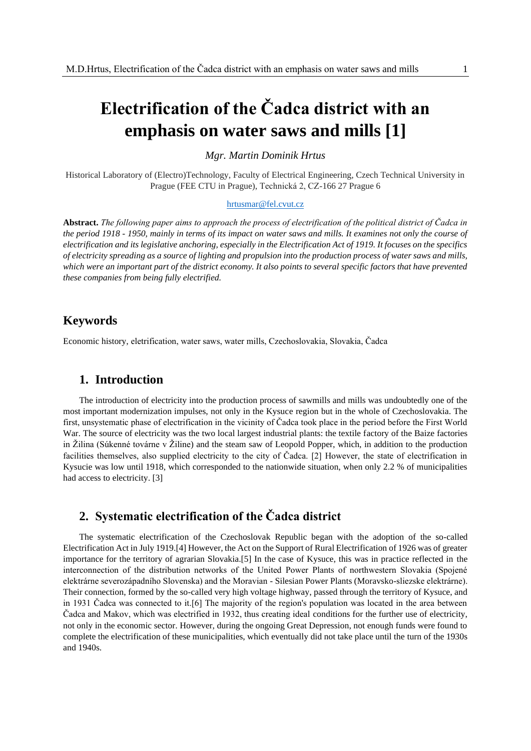# **Electrification of the Čadca district with an emphasis on water saws and mills [1]**

*Mgr. Martin Dominik Hrtus*

Historical Laboratory of (Electro)Technology, Faculty of Electrical Engineering, Czech Technical University in Prague (FEE CTU in Prague), Technická 2, CZ-166 27 Prague 6

#### [hrtusmar@fel.cvut.cz](mailto:hrtusmar@fel.cvut.cz)

**Abstract.** *The following paper aims to approach the process of electrification of the political district of Čadca in the period 1918 - 1950, mainly in terms of its impact on water saws and mills. It examines not only the course of electrification and its legislative anchoring, especially in the Electrification Act of 1919. It focuses on the specifics of electricity spreading as a source of lighting and propulsion into the production process of water saws and mills, which were an important part of the district economy. It also points to several specific factors that have prevented these companies from being fully electrified.*

# **Keywords**

Economic history, eletrification, water saws, water mills, Czechoslovakia, Slovakia, Čadca

# **1. Introduction**

The introduction of electricity into the production process of sawmills and mills was undoubtedly one of the most important modernization impulses, not only in the Kysuce region but in the whole of Czechoslovakia. The first, unsystematic phase of electrification in the vicinity of Čadca took place in the period before the First World War. The source of electricity was the two local largest industrial plants: the textile factory of the Baize factories in Žilina (Súkenné továrne v Žiline) and the steam saw of Leopold Popper, which, in addition to the production facilities themselves, also supplied electricity to the city of Čadca. [2] However, the state of electrification in Kysucie was low until 1918, which corresponded to the nationwide situation, when only 2.2 % of municipalities had access to electricity. [3]

# **2. Systematic electrification of the Čadca district**

The systematic electrification of the Czechoslovak Republic began with the adoption of the so-called Electrification Act in July 1919.[4] However, the Act on the Support of Rural Electrification of 1926 was of greater importance for the territory of agrarian Slovakia.[5] In the case of Kysuce, this was in practice reflected in the interconnection of the distribution networks of the United Power Plants of northwestern Slovakia (Spojené elektrárne severozápadního Slovenska) and the Moravian - Silesian Power Plants (Moravsko-sliezske elektrárne). Their connection, formed by the so-called very high voltage highway, passed through the territory of Kysuce, and in 1931 Čadca was connected to it.[6] The majority of the region's population was located in the area between Čadca and Makov, which was electrified in 1932, thus creating ideal conditions for the further use of electricity, not only in the economic sector. However, during the ongoing Great Depression, not enough funds were found to complete the electrification of these municipalities, which eventually did not take place until the turn of the 1930s and 1940s.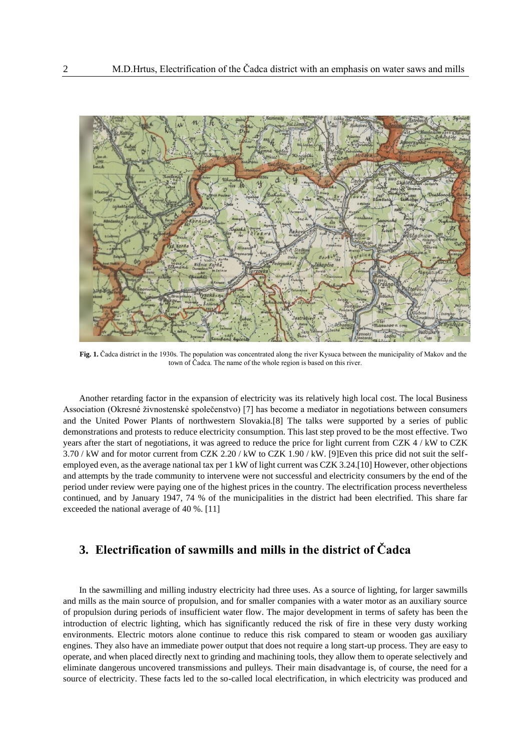

**Fig. 1.** Čadca district in the 1930s. The population was concentrated along the river Kysuca between the municipality of Makov and the town of Čadca. The name of the whole region is based on this river.

Another retarding factor in the expansion of electricity was its relatively high local cost. The local Business Association (Okresné živnostenské společenstvo) [7] has become a mediator in negotiations between consumers and the United Power Plants of northwestern Slovakia.[8] The talks were supported by a series of public demonstrations and protests to reduce electricity consumption. This last step proved to be the most effective. Two years after the start of negotiations, it was agreed to reduce the price for light current from CZK 4 / kW to CZK 3.70 / kW and for motor current from CZK 2.20 / kW to CZK 1.90 / kW. [9]Even this price did not suit the selfemployed even, as the average national tax per 1 kW of light current was CZK 3.24.[10] However, other objections and attempts by the trade community to intervene were not successful and electricity consumers by the end of the period under review were paying one of the highest prices in the country. The electrification process nevertheless continued, and by January 1947, 74 % of the municipalities in the district had been electrified. This share far exceeded the national average of 40 %. [11]

# **3. Electrification of sawmills and mills in the district of Čadca**

In the sawmilling and milling industry electricity had three uses. As a source of lighting, for larger sawmills and mills as the main source of propulsion, and for smaller companies with a water motor as an auxiliary source of propulsion during periods of insufficient water flow. The major development in terms of safety has been the introduction of electric lighting, which has significantly reduced the risk of fire in these very dusty working environments. Electric motors alone continue to reduce this risk compared to steam or wooden gas auxiliary engines. They also have an immediate power output that does not require a long start-up process. They are easy to operate, and when placed directly next to grinding and machining tools, they allow them to operate selectively and eliminate dangerous uncovered transmissions and pulleys. Their main disadvantage is, of course, the need for a source of electricity. These facts led to the so-called local electrification, in which electricity was produced and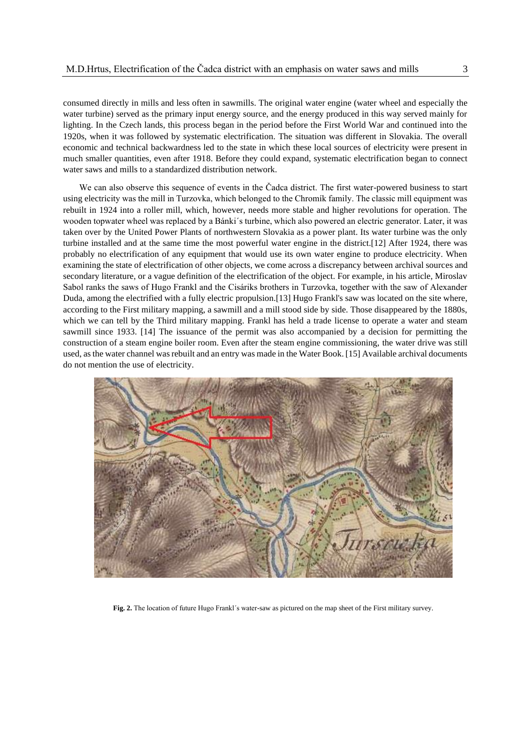consumed directly in mills and less often in sawmills. The original water engine (water wheel and especially the water turbine) served as the primary input energy source, and the energy produced in this way served mainly for lighting. In the Czech lands, this process began in the period before the First World War and continued into the 1920s, when it was followed by systematic electrification. The situation was different in Slovakia. The overall economic and technical backwardness led to the state in which these local sources of electricity were present in much smaller quantities, even after 1918. Before they could expand, systematic electrification began to connect water saws and mills to a standardized distribution network.

We can also observe this sequence of events in the Čadca district. The first water-powered business to start using electricity was the mill in Turzovka, which belonged to the Chromík family. The classic mill equipment was rebuilt in 1924 into a roller mill, which, however, needs more stable and higher revolutions for operation. The wooden topwater wheel was replaced by a Bánki´s turbine, which also powered an electric generator. Later, it was taken over by the United Power Plants of northwestern Slovakia as a power plant. Its water turbine was the only turbine installed and at the same time the most powerful water engine in the district.[12] After 1924, there was probably no electrification of any equipment that would use its own water engine to produce electricity. When examining the state of electrification of other objects, we come across a discrepancy between archival sources and secondary literature, or a vague definition of the electrification of the object. For example, in his article, Miroslav Sabol ranks the saws of Hugo Frankl and the Cisáriks brothers in Turzovka, together with the saw of Alexander Duda, among the electrified with a fully electric propulsion.[13] Hugo Frankl's saw was located on the site where, according to the First military mapping, a sawmill and a mill stood side by side. Those disappeared by the 1880s, which we can tell by the Third military mapping. Frankl has held a trade license to operate a water and steam sawmill since 1933. [14] The issuance of the permit was also accompanied by a decision for permitting the construction of a steam engine boiler room. Even after the steam engine commissioning, the water drive was still used, as the water channel was rebuilt and an entry was made in the Water Book. [15] Available archival documents do not mention the use of electricity.



**Fig. 2.** The location of future Hugo Frankl´s water-saw as pictured on the map sheet of the First military survey.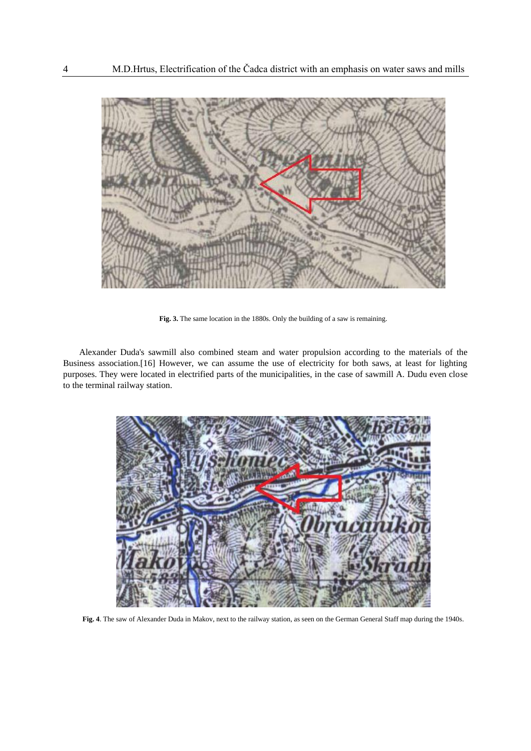

**Fig. 3.** The same location in the 1880s. Only the building of a saw is remaining.

Alexander Duda's sawmill also combined steam and water propulsion according to the materials of the Business association.[16] However, we can assume the use of electricity for both saws, at least for lighting purposes. They were located in electrified parts of the municipalities, in the case of sawmill A. Dudu even close to the terminal railway station.



**Fig. 4**. The saw of Alexander Duda in Makov, next to the railway station, as seen on the German General Staff map during the 1940s.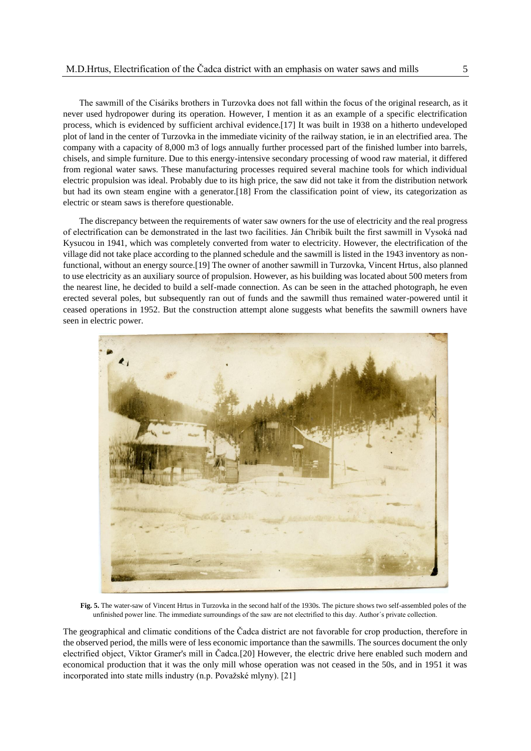The sawmill of the Cisáriks brothers in Turzovka does not fall within the focus of the original research, as it never used hydropower during its operation. However, I mention it as an example of a specific electrification process, which is evidenced by sufficient archival evidence.[17] It was built in 1938 on a hitherto undeveloped plot of land in the center of Turzovka in the immediate vicinity of the railway station, ie in an electrified area. The company with a capacity of 8,000 m3 of logs annually further processed part of the finished lumber into barrels, chisels, and simple furniture. Due to this energy-intensive secondary processing of wood raw material, it differed from regional water saws. These manufacturing processes required several machine tools for which individual electric propulsion was ideal. Probably due to its high price, the saw did not take it from the distribution network but had its own steam engine with a generator.[18] From the classification point of view, its categorization as electric or steam saws is therefore questionable.

The discrepancy between the requirements of water saw owners for the use of electricity and the real progress of electrification can be demonstrated in the last two facilities. Ján Chribík built the first sawmill in Vysoká nad Kysucou in 1941, which was completely converted from water to electricity. However, the electrification of the village did not take place according to the planned schedule and the sawmill is listed in the 1943 inventory as nonfunctional, without an energy source.[19] The owner of another sawmill in Turzovka, Vincent Hrtus, also planned to use electricity as an auxiliary source of propulsion. However, as his building was located about 500 meters from the nearest line, he decided to build a self-made connection. As can be seen in the attached photograph, he even erected several poles, but subsequently ran out of funds and the sawmill thus remained water-powered until it ceased operations in 1952. But the construction attempt alone suggests what benefits the sawmill owners have seen in electric power.



**Fig. 5.** The water-saw of Vincent Hrtus in Turzovka in the second half of the 1930s. The picture shows two self-assembled poles of the unfinished power line. The immediate surroundings of the saw are not electrified to this day. Author´s private collection.

The geographical and climatic conditions of the Čadca district are not favorable for crop production, therefore in the observed period, the mills were of less economic importance than the sawmills. The sources document the only electrified object, Viktor Gramer's mill in Čadca.[20] However, the electric drive here enabled such modern and economical production that it was the only mill whose operation was not ceased in the 50s, and in 1951 it was incorporated into state mills industry (n.p. Považské mlyny). [21]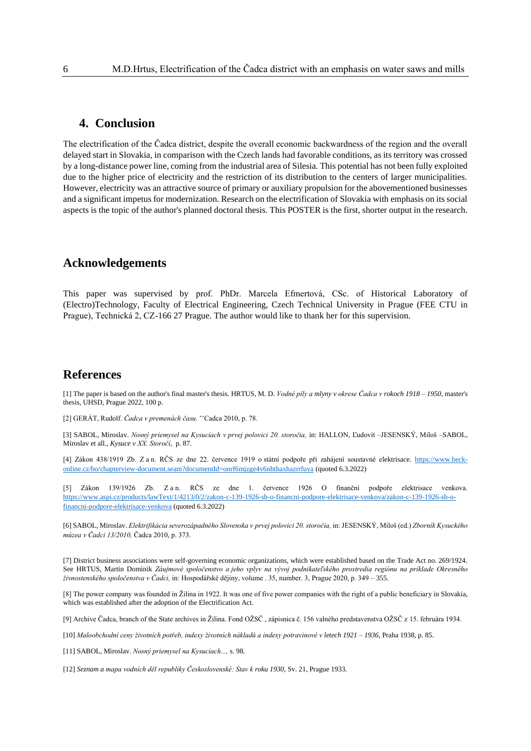### **4. Conclusion**

The electrification of the Čadca district, despite the overall economic backwardness of the region and the overall delayed start in Slovakia, in comparison with the Czech lands had favorable conditions, as its territory was crossed by a long-distance power line, coming from the industrial area of Silesia. This potential has not been fully exploited due to the higher price of electricity and the restriction of its distribution to the centers of larger municipalities. However, electricity was an attractive source of primary or auxiliary propulsion for the abovementioned businesses and a significant impetus for modernization. Research on the electrification of Slovakia with emphasis on its social aspects is the topic of the author's planned doctoral thesis. This POSTER is the first, shorter output in the research.

# **Acknowledgements**

This paper was supervised by prof. PhDr. Marcela Efmertová, CSc. of Historical Laboratory of (Electro)Technology, Faculty of Electrical Engineering, Czech Technical University in Prague (FEE CTU in Prague), Technická 2, CZ-166 27 Prague. The author would like to thank her for this supervision.

### **References**

[1] The paper is based on the author's final master's thesis. HRTUS, M. D. *Vodné píly a mlyny v okrese Čadca v rokoch 1918 – 1950*, master's thesis, UHSD, Prague 2022, 100 p.

[2] GERÁT, Rudolf. *Čadca v premenách času.* ˇˇCadca 2010, p. 78.

[3] SABOL, Miroslav. *Nosný priemysel na Kysuciach v prvej polovici 20. storočia,* in: HALLON, Ľudovít –JESENSKÝ, Miloš –SABOL, Miroslav et all*., Kysuce v XX. Storočí*, p. 87.

[4] Zákon 438/1919 Zb. Z a n. RČS ze dne 22. července 1919 o státní podpoře při zahájení soustavné elektrisace. [https://www.beck](https://www.beck-online.cz/bo/chapterview-document.seam?documentId=onrf6mjzge4v6nbthaxhazrrfuya)[online.cz/bo/chapterview-document.seam?documentId=onrf6mjzge4v6nbthaxhazrrfuya](https://www.beck-online.cz/bo/chapterview-document.seam?documentId=onrf6mjzge4v6nbthaxhazrrfuya) (quoted 6.3.2022)

[5] Zákon 139/1926 Zb. Z a n. RČS ze dne 1. července 1926 O finanční podpoře elektrisace venkova. [https://www.aspi.cz/products/lawText/1/4213/0/2/zakon-c-139-1926-sb-o-financni-podpore-elektrisace-venkova/zakon-c-139-1926-sb-o](https://www.aspi.cz/products/lawText/1/4213/0/2/zakon-c-139-1926-sb-o-financni-podpore-elektrisace-venkova/zakon-c-139-1926-sb-o-financni-podpore-elektrisace-venkova)[financni-podpore-elektrisace-venkova](https://www.aspi.cz/products/lawText/1/4213/0/2/zakon-c-139-1926-sb-o-financni-podpore-elektrisace-venkova/zakon-c-139-1926-sb-o-financni-podpore-elektrisace-venkova) (quoted 6.3.2022)

[6] SABOL, Miroslav. *Elektrifikácia severozápadného Slovenska v prvej polovici 20. storočia,* in: JESENSKÝ, Miloš (ed.) *Zborník Kysuckého múzea v Čadci 13/2010,* Čadca 2010, p. 373.

[7] District business associations were self-governing economic organizations, which were established based on the Trade Act no. 269/1924. See HRTUS, Martin Dominik *Záujmové spoločenstvo a jeho vplyv na vývoj podnikateľského prostredia regiónu na príklade Okresného živnostenského spoločenstva v Čadci,* in: Hospodářské dějiny, volume . 35, number. 3, Prague 2020, p. 349 – 355.

[8] The power company was founded in Žilina in 1922. It was one of five power companies with the right of a public beneficiary in Slovakia, which was established after the adoption of the Electrification Act.

[9] Archive Čadca, branch of the State archives in Žilina. Fond OŽSČ , zápisnica č. 156 valného predstavenstva OŽSČ z 15. februára 1934.

[10] *Maloobchodní ceny životních potřeb, indexy životních nákladů a indexy potravinové v letech 1921 – 1936*, Praha 1938, p. 85.

[11] SABOL, Miroslav. *Nosný priemysel na Kysuciach...,* s. 98.

[12] *Seznam a mapa vodních děl republiky Československé: Stav k roku 1930*, Sv. 21, Prague 1933.